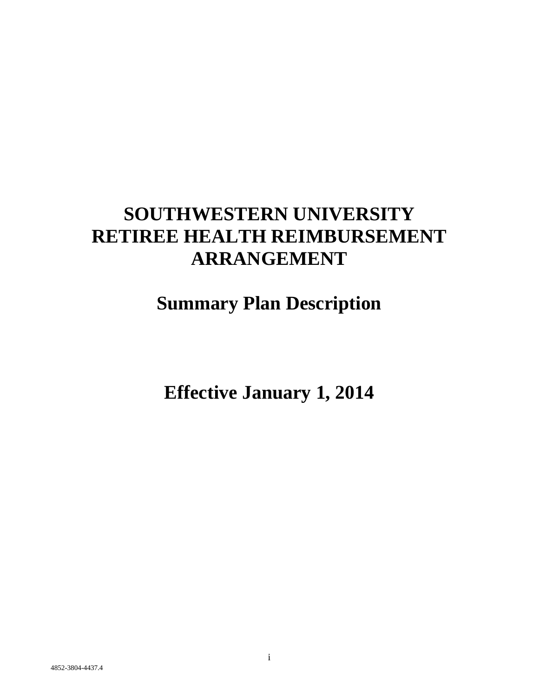# **SOUTHWESTERN UNIVERSITY RETIREE HEALTH REIMBURSEMENT ARRANGEMENT**

# **Summary Plan Description**

**Effective January 1, 2014**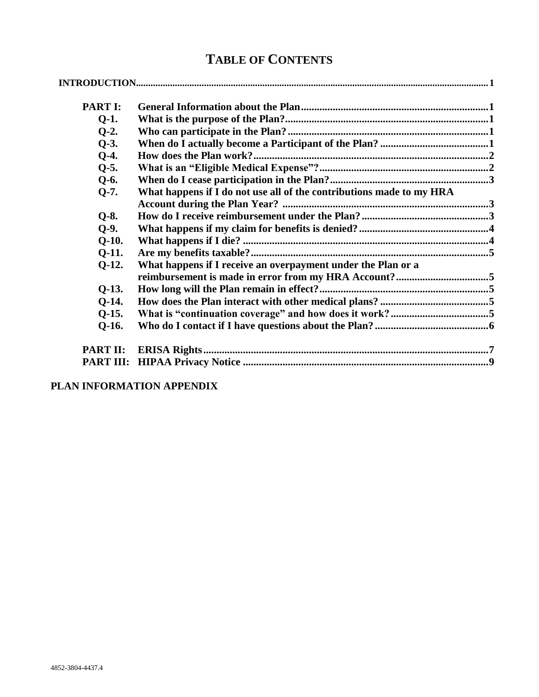# **TABLE OF CONTENTS**

| <b>PART I:</b> |                                                                      |  |
|----------------|----------------------------------------------------------------------|--|
| $Q-1$ .        |                                                                      |  |
| $Q-2$ .        |                                                                      |  |
| $Q-3$ .        |                                                                      |  |
| $Q-4.$         |                                                                      |  |
| $Q-5.$         |                                                                      |  |
| $Q-6.$         |                                                                      |  |
| $Q-7.$         | What happens if I do not use all of the contributions made to my HRA |  |
|                |                                                                      |  |
| $Q-8.$         |                                                                      |  |
| $Q-9.$         |                                                                      |  |
| $O-10.$        |                                                                      |  |
| $Q-11.$        |                                                                      |  |
| $Q-12.$        | What happens if I receive an overpayment under the Plan or a         |  |
|                |                                                                      |  |
| $Q-13.$        |                                                                      |  |
| $O-14.$        |                                                                      |  |
| $Q-15.$        |                                                                      |  |
| $O-16.$        |                                                                      |  |
| PART II:       |                                                                      |  |
|                |                                                                      |  |

**PLAN INFORMATION APPENDIX**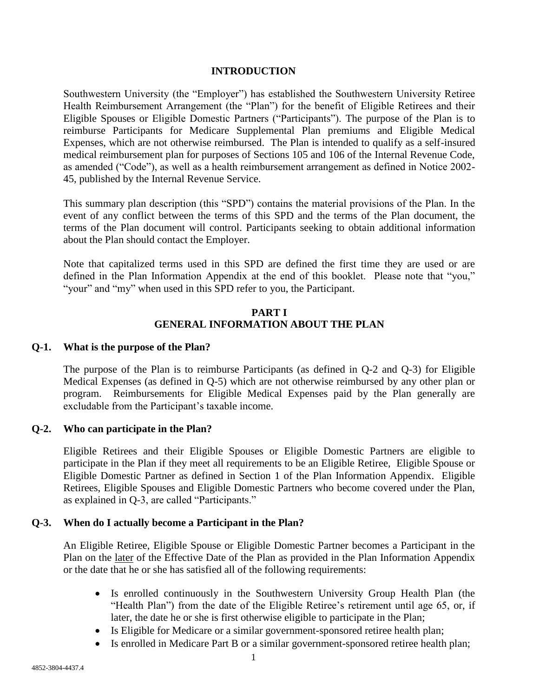#### **INTRODUCTION**

Southwestern University (the "Employer") has established the Southwestern University Retiree Health Reimbursement Arrangement (the "Plan") for the benefit of Eligible Retirees and their Eligible Spouses or Eligible Domestic Partners ("Participants"). The purpose of the Plan is to reimburse Participants for Medicare Supplemental Plan premiums and Eligible Medical Expenses, which are not otherwise reimbursed. The Plan is intended to qualify as a self-insured medical reimbursement plan for purposes of Sections 105 and 106 of the Internal Revenue Code, as amended ("Code"), as well as a health reimbursement arrangement as defined in Notice 2002- 45, published by the Internal Revenue Service.

This summary plan description (this "SPD") contains the material provisions of the Plan. In the event of any conflict between the terms of this SPD and the terms of the Plan document, the terms of the Plan document will control. Participants seeking to obtain additional information about the Plan should contact the Employer.

Note that capitalized terms used in this SPD are defined the first time they are used or are defined in the Plan Information Appendix at the end of this booklet. Please note that "you," "your" and "my" when used in this SPD refer to you, the Participant.

## **PART I GENERAL INFORMATION ABOUT THE PLAN**

#### **Q-1. What is the purpose of the Plan?**

The purpose of the Plan is to reimburse Participants (as defined in Q-2 and Q-3) for Eligible Medical Expenses (as defined in Q-5) which are not otherwise reimbursed by any other plan or program. Reimbursements for Eligible Medical Expenses paid by the Plan generally are excludable from the Participant's taxable income.

#### **Q-2. Who can participate in the Plan?**

Eligible Retirees and their Eligible Spouses or Eligible Domestic Partners are eligible to participate in the Plan if they meet all requirements to be an Eligible Retiree, Eligible Spouse or Eligible Domestic Partner as defined in Section 1 of the Plan Information Appendix. Eligible Retirees, Eligible Spouses and Eligible Domestic Partners who become covered under the Plan, as explained in Q-3, are called "Participants."

#### **Q-3. When do I actually become a Participant in the Plan?**

An Eligible Retiree, Eligible Spouse or Eligible Domestic Partner becomes a Participant in the Plan on the later of the Effective Date of the Plan as provided in the Plan Information Appendix or the date that he or she has satisfied all of the following requirements:

- Is enrolled continuously in the Southwestern University Group Health Plan (the "Health Plan") from the date of the Eligible Retiree's retirement until age 65, or, if later, the date he or she is first otherwise eligible to participate in the Plan;
- Is Eligible for Medicare or a similar government-sponsored retiree health plan;
- Is enrolled in Medicare Part B or a similar government-sponsored retiree health plan;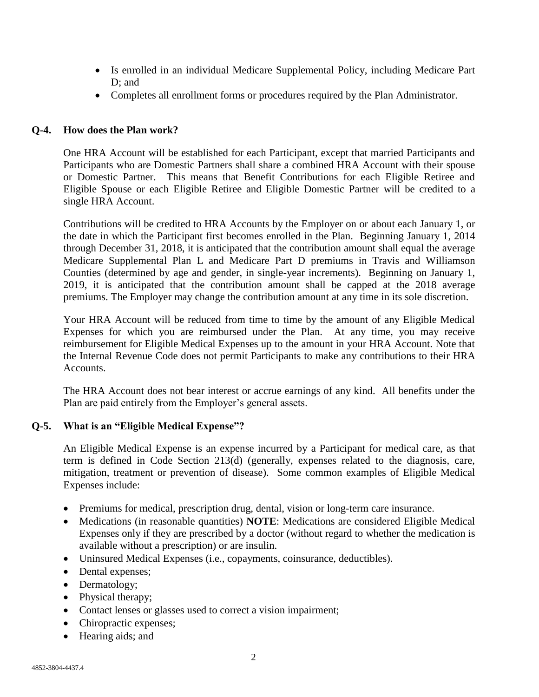- Is enrolled in an individual Medicare Supplemental Policy, including Medicare Part D; and
- Completes all enrollment forms or procedures required by the Plan Administrator.

# **Q-4. How does the Plan work?**

One HRA Account will be established for each Participant, except that married Participants and Participants who are Domestic Partners shall share a combined HRA Account with their spouse or Domestic Partner. This means that Benefit Contributions for each Eligible Retiree and Eligible Spouse or each Eligible Retiree and Eligible Domestic Partner will be credited to a single HRA Account.

Contributions will be credited to HRA Accounts by the Employer on or about each January 1, or the date in which the Participant first becomes enrolled in the Plan. Beginning January 1, 2014 through December 31, 2018, it is anticipated that the contribution amount shall equal the average Medicare Supplemental Plan L and Medicare Part D premiums in Travis and Williamson Counties (determined by age and gender, in single-year increments). Beginning on January 1, 2019, it is anticipated that the contribution amount shall be capped at the 2018 average premiums. The Employer may change the contribution amount at any time in its sole discretion.

Your HRA Account will be reduced from time to time by the amount of any Eligible Medical Expenses for which you are reimbursed under the Plan. At any time, you may receive reimbursement for Eligible Medical Expenses up to the amount in your HRA Account. Note that the Internal Revenue Code does not permit Participants to make any contributions to their HRA Accounts.

The HRA Account does not bear interest or accrue earnings of any kind. All benefits under the Plan are paid entirely from the Employer's general assets.

## **Q-5. What is an "Eligible Medical Expense"?**

An Eligible Medical Expense is an expense incurred by a Participant for medical care, as that term is defined in Code Section 213(d) (generally, expenses related to the diagnosis, care, mitigation, treatment or prevention of disease). Some common examples of Eligible Medical Expenses include:

- Premiums for medical, prescription drug, dental, vision or long-term care insurance.
- Medications (in reasonable quantities) **NOTE**: Medications are considered Eligible Medical Expenses only if they are prescribed by a doctor (without regard to whether the medication is available without a prescription) or are insulin.
- Uninsured Medical Expenses (i.e., copayments, coinsurance, deductibles).
- Dental expenses;
- Dermatology;
- Physical therapy;
- Contact lenses or glasses used to correct a vision impairment;
- Chiropractic expenses;
- Hearing aids; and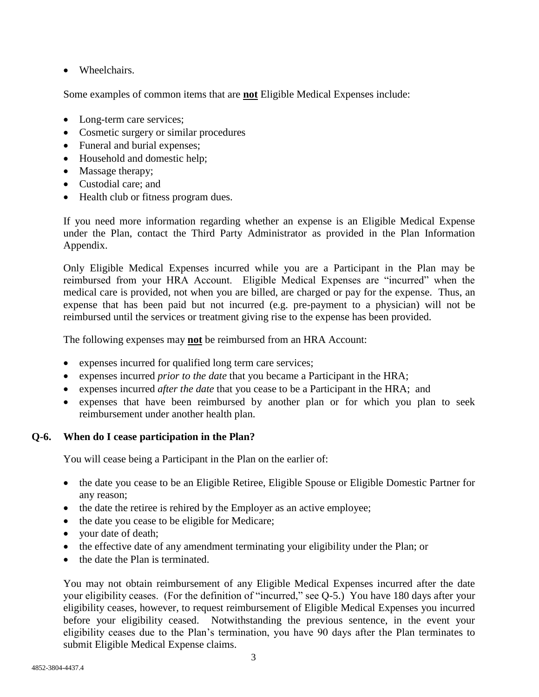• Wheelchairs.

Some examples of common items that are **not** Eligible Medical Expenses include:

- Long-term care services;
- Cosmetic surgery or similar procedures
- Funeral and burial expenses;
- Household and domestic help;
- Massage therapy;
- Custodial care; and
- Health club or fitness program dues.

If you need more information regarding whether an expense is an Eligible Medical Expense under the Plan, contact the Third Party Administrator as provided in the Plan Information Appendix.

Only Eligible Medical Expenses incurred while you are a Participant in the Plan may be reimbursed from your HRA Account. Eligible Medical Expenses are "incurred" when the medical care is provided, not when you are billed, are charged or pay for the expense. Thus, an expense that has been paid but not incurred (e.g. pre-payment to a physician) will not be reimbursed until the services or treatment giving rise to the expense has been provided.

The following expenses may **not** be reimbursed from an HRA Account:

- expenses incurred for qualified long term care services;
- expenses incurred *prior to the date* that you became a Participant in the HRA;
- expenses incurred *after the date* that you cease to be a Participant in the HRA; and
- expenses that have been reimbursed by another plan or for which you plan to seek reimbursement under another health plan.

# **Q-6. When do I cease participation in the Plan?**

You will cease being a Participant in the Plan on the earlier of:

- the date you cease to be an Eligible Retiree, Eligible Spouse or Eligible Domestic Partner for any reason;
- the date the retiree is rehired by the Employer as an active employee;
- the date you cease to be eligible for Medicare;
- your date of death;
- the effective date of any amendment terminating your eligibility under the Plan; or
- the date the Plan is terminated.

You may not obtain reimbursement of any Eligible Medical Expenses incurred after the date your eligibility ceases. (For the definition of "incurred," see Q-5.) You have 180 days after your eligibility ceases, however, to request reimbursement of Eligible Medical Expenses you incurred before your eligibility ceased. Notwithstanding the previous sentence, in the event your eligibility ceases due to the Plan's termination, you have 90 days after the Plan terminates to submit Eligible Medical Expense claims.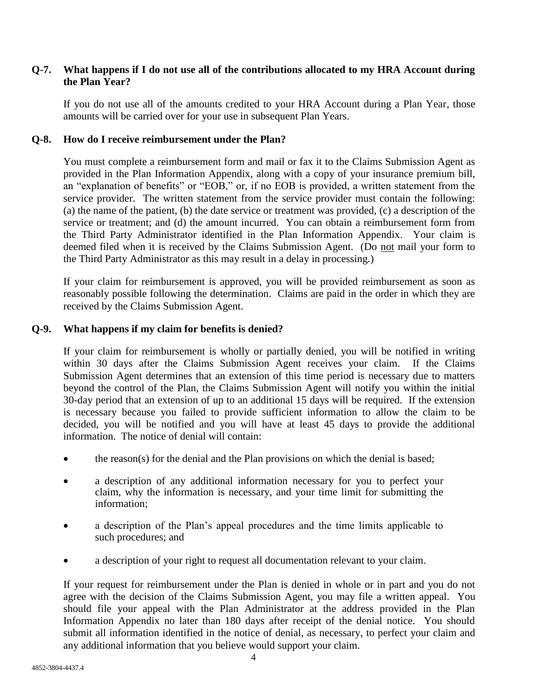## **Q-7. What happens if I do not use all of the contributions allocated to my HRA Account during the Plan Year?**

If you do not use all of the amounts credited to your HRA Account during a Plan Year, those amounts will be carried over for your use in subsequent Plan Years.

#### **Q-8. How do I receive reimbursement under the Plan?**

You must complete a reimbursement form and mail or fax it to the Claims Submission Agent as provided in the Plan Information Appendix, along with a copy of your insurance premium bill, an "explanation of benefits" or "EOB," or, if no EOB is provided, a written statement from the service provider. The written statement from the service provider must contain the following: (a) the name of the patient, (b) the date service or treatment was provided, (c) a description of the service or treatment; and (d) the amount incurred. You can obtain a reimbursement form from the Third Party Administrator identified in the Plan Information Appendix. Your claim is deemed filed when it is received by the Claims Submission Agent. (Do not mail your form to the Third Party Administrator as this may result in a delay in processing.)

If your claim for reimbursement is approved, you will be provided reimbursement as soon as reasonably possible following the determination. Claims are paid in the order in which they are received by the Claims Submission Agent.

## **Q-9. What happens if my claim for benefits is denied?**

If your claim for reimbursement is wholly or partially denied, you will be notified in writing within 30 days after the Claims Submission Agent receives your claim. If the Claims Submission Agent determines that an extension of this time period is necessary due to matters beyond the control of the Plan, the Claims Submission Agent will notify you within the initial 30-day period that an extension of up to an additional 15 days will be required. If the extension is necessary because you failed to provide sufficient information to allow the claim to be decided, you will be notified and you will have at least 45 days to provide the additional information. The notice of denial will contain:

- the reason(s) for the denial and the Plan provisions on which the denial is based;
- a description of any additional information necessary for you to perfect your claim, why the information is necessary, and your time limit for submitting the information;
- a description of the Plan's appeal procedures and the time limits applicable to such procedures; and
- a description of your right to request all documentation relevant to your claim.

If your request for reimbursement under the Plan is denied in whole or in part and you do not agree with the decision of the Claims Submission Agent, you may file a written appeal. You should file your appeal with the Plan Administrator at the address provided in the Plan Information Appendix no later than 180 days after receipt of the denial notice. You should submit all information identified in the notice of denial, as necessary, to perfect your claim and any additional information that you believe would support your claim.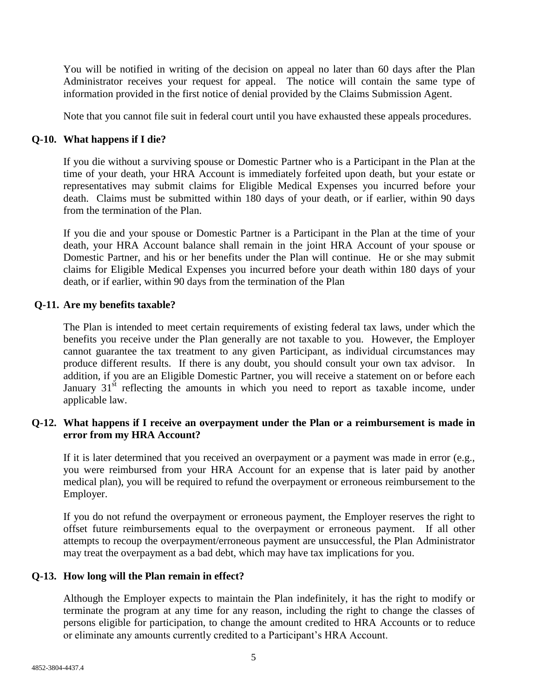You will be notified in writing of the decision on appeal no later than 60 days after the Plan Administrator receives your request for appeal. The notice will contain the same type of information provided in the first notice of denial provided by the Claims Submission Agent.

Note that you cannot file suit in federal court until you have exhausted these appeals procedures.

# **Q-10. What happens if I die?**

If you die without a surviving spouse or Domestic Partner who is a Participant in the Plan at the time of your death, your HRA Account is immediately forfeited upon death, but your estate or representatives may submit claims for Eligible Medical Expenses you incurred before your death. Claims must be submitted within 180 days of your death, or if earlier, within 90 days from the termination of the Plan.

If you die and your spouse or Domestic Partner is a Participant in the Plan at the time of your death, your HRA Account balance shall remain in the joint HRA Account of your spouse or Domestic Partner, and his or her benefits under the Plan will continue. He or she may submit claims for Eligible Medical Expenses you incurred before your death within 180 days of your death, or if earlier, within 90 days from the termination of the Plan

# **Q-11. Are my benefits taxable?**

The Plan is intended to meet certain requirements of existing federal tax laws, under which the benefits you receive under the Plan generally are not taxable to you. However, the Employer cannot guarantee the tax treatment to any given Participant, as individual circumstances may produce different results. If there is any doubt, you should consult your own tax advisor. In addition, if you are an Eligible Domestic Partner, you will receive a statement on or before each January  $31<sup>st</sup>$  reflecting the amounts in which you need to report as taxable income, under applicable law.

## **Q-12. What happens if I receive an overpayment under the Plan or a reimbursement is made in error from my HRA Account?**

If it is later determined that you received an overpayment or a payment was made in error (e.g., you were reimbursed from your HRA Account for an expense that is later paid by another medical plan), you will be required to refund the overpayment or erroneous reimbursement to the Employer.

If you do not refund the overpayment or erroneous payment, the Employer reserves the right to offset future reimbursements equal to the overpayment or erroneous payment. If all other attempts to recoup the overpayment/erroneous payment are unsuccessful, the Plan Administrator may treat the overpayment as a bad debt, which may have tax implications for you.

# **Q-13. How long will the Plan remain in effect?**

Although the Employer expects to maintain the Plan indefinitely, it has the right to modify or terminate the program at any time for any reason, including the right to change the classes of persons eligible for participation, to change the amount credited to HRA Accounts or to reduce or eliminate any amounts currently credited to a Participant's HRA Account.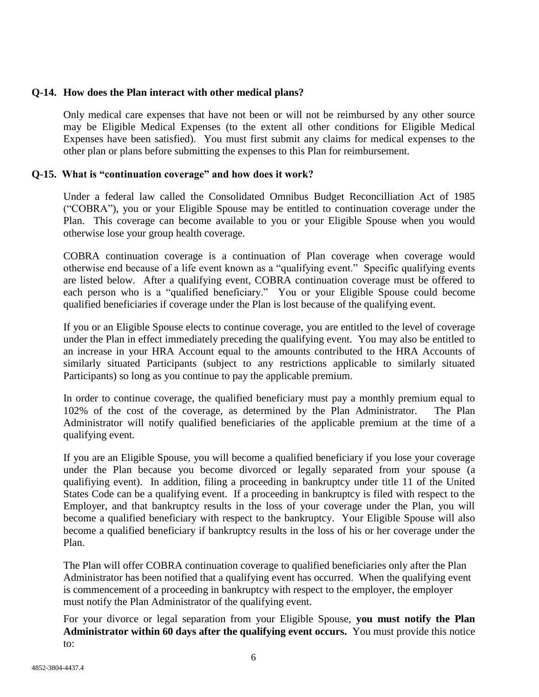#### **Q-14. How does the Plan interact with other medical plans?**

Only medical care expenses that have not been or will not be reimbursed by any other source may be Eligible Medical Expenses (to the extent all other conditions for Eligible Medical Expenses have been satisfied). You must first submit any claims for medical expenses to the other plan or plans before submitting the expenses to this Plan for reimbursement.

#### **Q-15. What is "continuation coverage" and how does it work?**

Under a federal law called the Consolidated Omnibus Budget Reconcilliation Act of 1985 ("COBRA"), you or your Eligible Spouse may be entitled to continuation coverage under the Plan. This coverage can become available to you or your Eligible Spouse when you would otherwise lose your group health coverage.

COBRA continuation coverage is a continuation of Plan coverage when coverage would otherwise end because of a life event known as a "qualifying event." Specific qualifying events are listed below. After a qualifying event, COBRA continuation coverage must be offered to each person who is a "qualified beneficiary." You or your Eligible Spouse could become qualified beneficiaries if coverage under the Plan is lost because of the qualifying event.

If you or an Eligible Spouse elects to continue coverage, you are entitled to the level of coverage under the Plan in effect immediately preceding the qualifying event. You may also be entitled to an increase in your HRA Account equal to the amounts contributed to the HRA Accounts of similarly situated Participants (subject to any restrictions applicable to similarly situated Participants) so long as you continue to pay the applicable premium.

In order to continue coverage, the qualified beneficiary must pay a monthly premium equal to 102% of the cost of the coverage, as determined by the Plan Administrator. The Plan Administrator will notify qualified beneficiaries of the applicable premium at the time of a qualifying event.

If you are an Eligible Spouse, you will become a qualified beneficiary if you lose your coverage under the Plan because you become divorced or legally separated from your spouse (a qualifiying event). In addition, filing a proceeding in bankruptcy under title 11 of the United States Code can be a qualifying event. If a proceeding in bankruptcy is filed with respect to the Employer, and that bankruptcy results in the loss of your coverage under the Plan, you will become a qualified beneficiary with respect to the bankruptcy. Your Eligible Spouse will also become a qualified beneficiary if bankruptcy results in the loss of his or her coverage under the Plan.

The Plan will offer COBRA continuation coverage to qualified beneficiaries only after the Plan Administrator has been notified that a qualifying event has occurred. When the qualifying event is commencement of a proceeding in bankruptcy with respect to the employer, the employer must notify the Plan Administrator of the qualifying event.

For your divorce or legal separation from your Eligible Spouse, **you must notify the Plan Administrator within 60 days after the qualifying event occurs.** You must provide this notice to: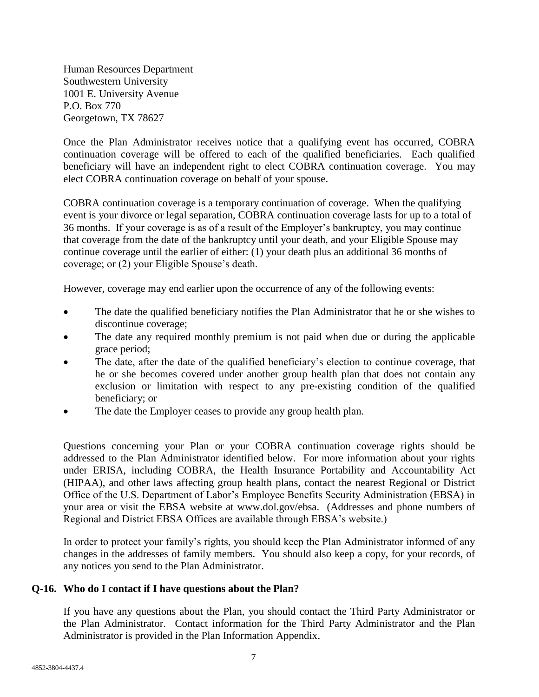Human Resources Department Southwestern University 1001 E. University Avenue P.O. Box 770 Georgetown, TX 78627

Once the Plan Administrator receives notice that a qualifying event has occurred, COBRA continuation coverage will be offered to each of the qualified beneficiaries. Each qualified beneficiary will have an independent right to elect COBRA continuation coverage. You may elect COBRA continuation coverage on behalf of your spouse.

COBRA continuation coverage is a temporary continuation of coverage. When the qualifying event is your divorce or legal separation, COBRA continuation coverage lasts for up to a total of 36 months. If your coverage is as of a result of the Employer's bankruptcy, you may continue that coverage from the date of the bankruptcy until your death, and your Eligible Spouse may continue coverage until the earlier of either: (1) your death plus an additional 36 months of coverage; or (2) your Eligible Spouse's death.

However, coverage may end earlier upon the occurrence of any of the following events:

- The date the qualified beneficiary notifies the Plan Administrator that he or she wishes to discontinue coverage;
- The date any required monthly premium is not paid when due or during the applicable grace period;
- The date, after the date of the qualified beneficiary's election to continue coverage, that he or she becomes covered under another group health plan that does not contain any exclusion or limitation with respect to any pre-existing condition of the qualified beneficiary; or
- The date the Employer ceases to provide any group health plan.

Questions concerning your Plan or your COBRA continuation coverage rights should be addressed to the Plan Administrator identified below. For more information about your rights under ERISA, including COBRA, the Health Insurance Portability and Accountability Act (HIPAA), and other laws affecting group health plans, contact the nearest Regional or District Office of the U.S. Department of Labor's Employee Benefits Security Administration (EBSA) in your area or visit the EBSA website at www.dol.gov/ebsa. (Addresses and phone numbers of Regional and District EBSA Offices are available through EBSA's website.)

In order to protect your family's rights, you should keep the Plan Administrator informed of any changes in the addresses of family members.You should also keep a copy, for your records, of any notices you send to the Plan Administrator.

# **Q-16. Who do I contact if I have questions about the Plan?**

If you have any questions about the Plan, you should contact the Third Party Administrator or the Plan Administrator. Contact information for the Third Party Administrator and the Plan Administrator is provided in the Plan Information Appendix.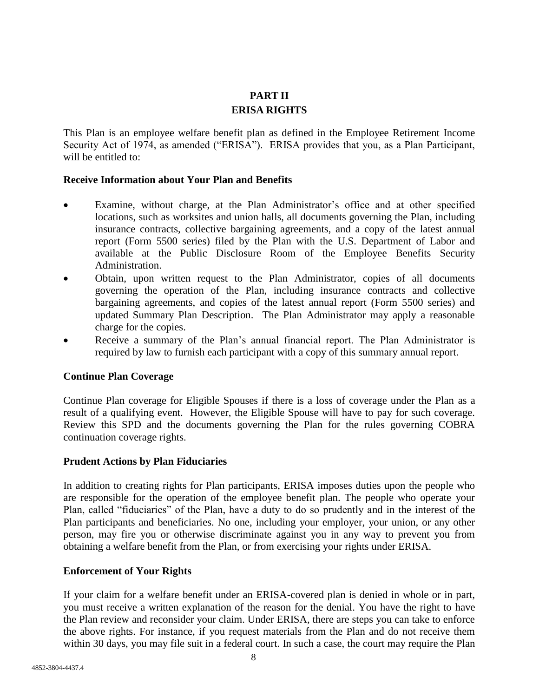# **PART II ERISA RIGHTS**

This Plan is an employee welfare benefit plan as defined in the Employee Retirement Income Security Act of 1974, as amended ("ERISA"). ERISA provides that you, as a Plan Participant, will be entitled to:

#### **Receive Information about Your Plan and Benefits**

- Examine, without charge, at the Plan Administrator's office and at other specified locations, such as worksites and union halls, all documents governing the Plan, including insurance contracts, collective bargaining agreements, and a copy of the latest annual report (Form 5500 series) filed by the Plan with the U.S. Department of Labor and available at the Public Disclosure Room of the Employee Benefits Security Administration.
- Obtain, upon written request to the Plan Administrator, copies of all documents governing the operation of the Plan, including insurance contracts and collective bargaining agreements, and copies of the latest annual report (Form 5500 series) and updated Summary Plan Description. The Plan Administrator may apply a reasonable charge for the copies.
- Receive a summary of the Plan's annual financial report. The Plan Administrator is required by law to furnish each participant with a copy of this summary annual report.

#### **Continue Plan Coverage**

Continue Plan coverage for Eligible Spouses if there is a loss of coverage under the Plan as a result of a qualifying event. However, the Eligible Spouse will have to pay for such coverage. Review this SPD and the documents governing the Plan for the rules governing COBRA continuation coverage rights.

#### **Prudent Actions by Plan Fiduciaries**

In addition to creating rights for Plan participants, ERISA imposes duties upon the people who are responsible for the operation of the employee benefit plan. The people who operate your Plan, called "fiduciaries" of the Plan, have a duty to do so prudently and in the interest of the Plan participants and beneficiaries. No one, including your employer, your union, or any other person, may fire you or otherwise discriminate against you in any way to prevent you from obtaining a welfare benefit from the Plan, or from exercising your rights under ERISA.

# **Enforcement of Your Rights**

If your claim for a welfare benefit under an ERISA-covered plan is denied in whole or in part, you must receive a written explanation of the reason for the denial. You have the right to have the Plan review and reconsider your claim. Under ERISA, there are steps you can take to enforce the above rights. For instance, if you request materials from the Plan and do not receive them within 30 days, you may file suit in a federal court. In such a case, the court may require the Plan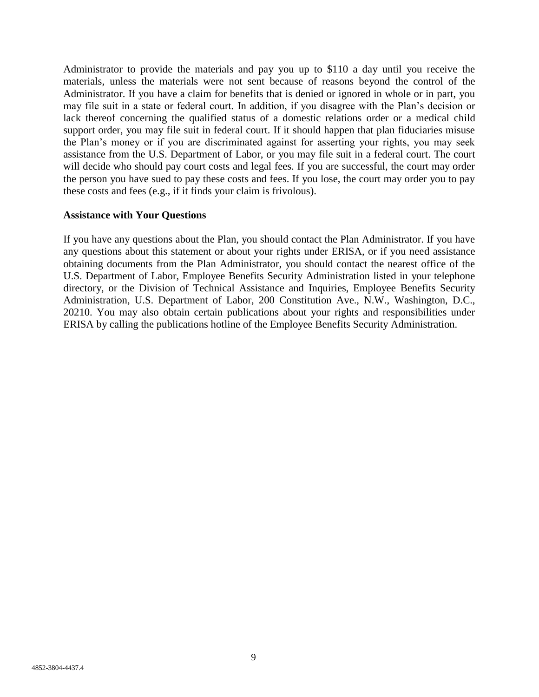Administrator to provide the materials and pay you up to \$110 a day until you receive the materials, unless the materials were not sent because of reasons beyond the control of the Administrator. If you have a claim for benefits that is denied or ignored in whole or in part, you may file suit in a state or federal court. In addition, if you disagree with the Plan's decision or lack thereof concerning the qualified status of a domestic relations order or a medical child support order, you may file suit in federal court. If it should happen that plan fiduciaries misuse the Plan's money or if you are discriminated against for asserting your rights, you may seek assistance from the U.S. Department of Labor, or you may file suit in a federal court. The court will decide who should pay court costs and legal fees. If you are successful, the court may order the person you have sued to pay these costs and fees. If you lose, the court may order you to pay these costs and fees (e.g., if it finds your claim is frivolous).

#### **Assistance with Your Questions**

If you have any questions about the Plan, you should contact the Plan Administrator. If you have any questions about this statement or about your rights under ERISA, or if you need assistance obtaining documents from the Plan Administrator, you should contact the nearest office of the U.S. Department of Labor, Employee Benefits Security Administration listed in your telephone directory, or the Division of Technical Assistance and Inquiries, Employee Benefits Security Administration, U.S. Department of Labor, 200 Constitution Ave., N.W., Washington, D.C., 20210. You may also obtain certain publications about your rights and responsibilities under ERISA by calling the publications hotline of the Employee Benefits Security Administration.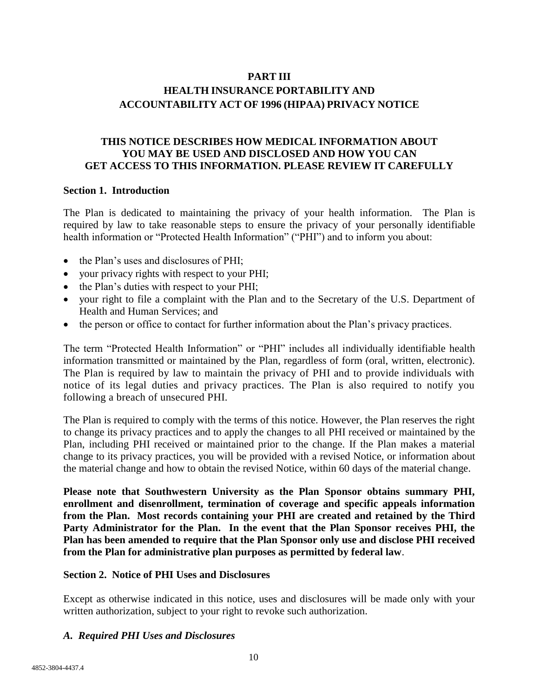# **PART III HEALTH INSURANCE PORTABILITY AND ACCOUNTABILITY ACT OF 1996 (HIPAA) PRIVACY NOTICE**

# **THIS NOTICE DESCRIBES HOW MEDICAL INFORMATION ABOUT YOU MAY BE USED AND DISCLOSED AND HOW YOU CAN GET ACCESS TO THIS INFORMATION. PLEASE REVIEW IT CAREFULLY**

#### **Section 1. Introduction**

The Plan is dedicated to maintaining the privacy of your health information. The Plan is required by law to take reasonable steps to ensure the privacy of your personally identifiable health information or "Protected Health Information" ("PHI") and to inform you about:

- the Plan's uses and disclosures of PHI;
- your privacy rights with respect to your PHI;
- the Plan's duties with respect to your PHI;
- your right to file a complaint with the Plan and to the Secretary of the U.S. Department of Health and Human Services; and
- the person or office to contact for further information about the Plan's privacy practices.

The term "Protected Health Information" or "PHI" includes all individually identifiable health information transmitted or maintained by the Plan, regardless of form (oral, written, electronic). The Plan is required by law to maintain the privacy of PHI and to provide individuals with notice of its legal duties and privacy practices. The Plan is also required to notify you following a breach of unsecured PHI.

The Plan is required to comply with the terms of this notice. However, the Plan reserves the right to change its privacy practices and to apply the changes to all PHI received or maintained by the Plan, including PHI received or maintained prior to the change. If the Plan makes a material change to its privacy practices, you will be provided with a revised Notice, or information about the material change and how to obtain the revised Notice, within 60 days of the material change.

**Please note that Southwestern University as the Plan Sponsor obtains summary PHI, enrollment and disenrollment, termination of coverage and specific appeals information from the Plan. Most records containing your PHI are created and retained by the Third Party Administrator for the Plan. In the event that the Plan Sponsor receives PHI, the Plan has been amended to require that the Plan Sponsor only use and disclose PHI received from the Plan for administrative plan purposes as permitted by federal law**.

#### **Section 2. Notice of PHI Uses and Disclosures**

Except as otherwise indicated in this notice, uses and disclosures will be made only with your written authorization, subject to your right to revoke such authorization.

#### *A. Required PHI Uses and Disclosures*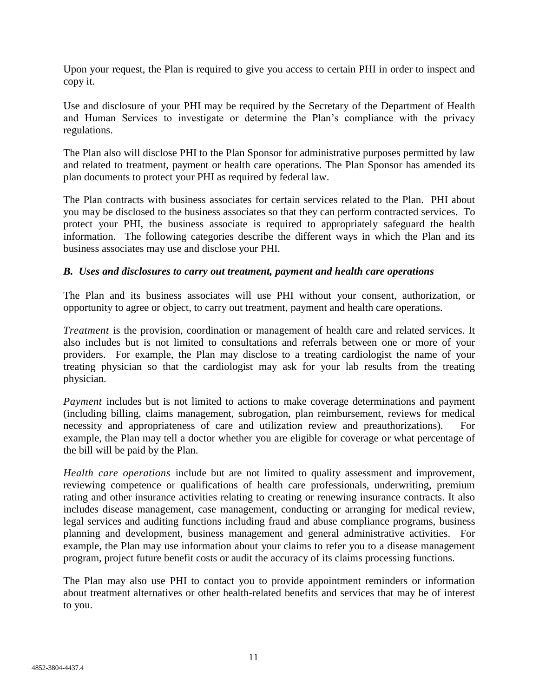Upon your request, the Plan is required to give you access to certain PHI in order to inspect and copy it.

Use and disclosure of your PHI may be required by the Secretary of the Department of Health and Human Services to investigate or determine the Plan's compliance with the privacy regulations.

The Plan also will disclose PHI to the Plan Sponsor for administrative purposes permitted by law and related to treatment, payment or health care operations. The Plan Sponsor has amended its plan documents to protect your PHI as required by federal law.

The Plan contracts with business associates for certain services related to the Plan. PHI about you may be disclosed to the business associates so that they can perform contracted services. To protect your PHI, the business associate is required to appropriately safeguard the health information. The following categories describe the different ways in which the Plan and its business associates may use and disclose your PHI.

## *B. Uses and disclosures to carry out treatment, payment and health care operations*

The Plan and its business associates will use PHI without your consent, authorization, or opportunity to agree or object, to carry out treatment, payment and health care operations.

*Treatment* is the provision, coordination or management of health care and related services. It also includes but is not limited to consultations and referrals between one or more of your providers. For example, the Plan may disclose to a treating cardiologist the name of your treating physician so that the cardiologist may ask for your lab results from the treating physician.

*Payment* includes but is not limited to actions to make coverage determinations and payment (including billing, claims management, subrogation, plan reimbursement, reviews for medical necessity and appropriateness of care and utilization review and preauthorizations). For example, the Plan may tell a doctor whether you are eligible for coverage or what percentage of the bill will be paid by the Plan.

*Health care operations* include but are not limited to quality assessment and improvement, reviewing competence or qualifications of health care professionals, underwriting, premium rating and other insurance activities relating to creating or renewing insurance contracts. It also includes disease management, case management, conducting or arranging for medical review, legal services and auditing functions including fraud and abuse compliance programs, business planning and development, business management and general administrative activities. For example, the Plan may use information about your claims to refer you to a disease management program, project future benefit costs or audit the accuracy of its claims processing functions.

The Plan may also use PHI to contact you to provide appointment reminders or information about treatment alternatives or other health-related benefits and services that may be of interest to you.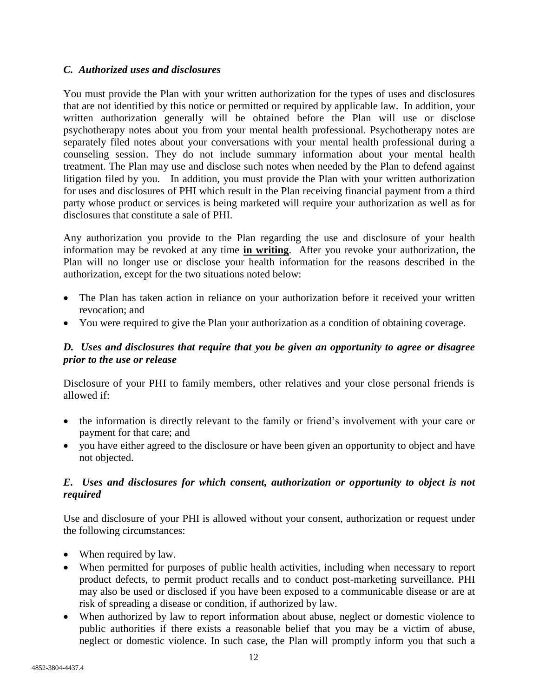# *C. Authorized uses and disclosures*

You must provide the Plan with your written authorization for the types of uses and disclosures that are not identified by this notice or permitted or required by applicable law. In addition, your written authorization generally will be obtained before the Plan will use or disclose psychotherapy notes about you from your mental health professional. Psychotherapy notes are separately filed notes about your conversations with your mental health professional during a counseling session. They do not include summary information about your mental health treatment. The Plan may use and disclose such notes when needed by the Plan to defend against litigation filed by you. In addition, you must provide the Plan with your written authorization for uses and disclosures of PHI which result in the Plan receiving financial payment from a third party whose product or services is being marketed will require your authorization as well as for disclosures that constitute a sale of PHI.

Any authorization you provide to the Plan regarding the use and disclosure of your health information may be revoked at any time **in writing**. After you revoke your authorization, the Plan will no longer use or disclose your health information for the reasons described in the authorization, except for the two situations noted below:

- The Plan has taken action in reliance on your authorization before it received your written revocation; and
- You were required to give the Plan your authorization as a condition of obtaining coverage.

# *D. Uses and disclosures that require that you be given an opportunity to agree or disagree prior to the use or release*

Disclosure of your PHI to family members, other relatives and your close personal friends is allowed if:

- the information is directly relevant to the family or friend's involvement with your care or payment for that care; and
- you have either agreed to the disclosure or have been given an opportunity to object and have not objected.

# *E. Uses and disclosures for which consent, authorization or opportunity to object is not required*

Use and disclosure of your PHI is allowed without your consent, authorization or request under the following circumstances:

- When required by law.
- When permitted for purposes of public health activities, including when necessary to report product defects, to permit product recalls and to conduct post-marketing surveillance. PHI may also be used or disclosed if you have been exposed to a communicable disease or are at risk of spreading a disease or condition, if authorized by law.
- When authorized by law to report information about abuse, neglect or domestic violence to public authorities if there exists a reasonable belief that you may be a victim of abuse, neglect or domestic violence. In such case, the Plan will promptly inform you that such a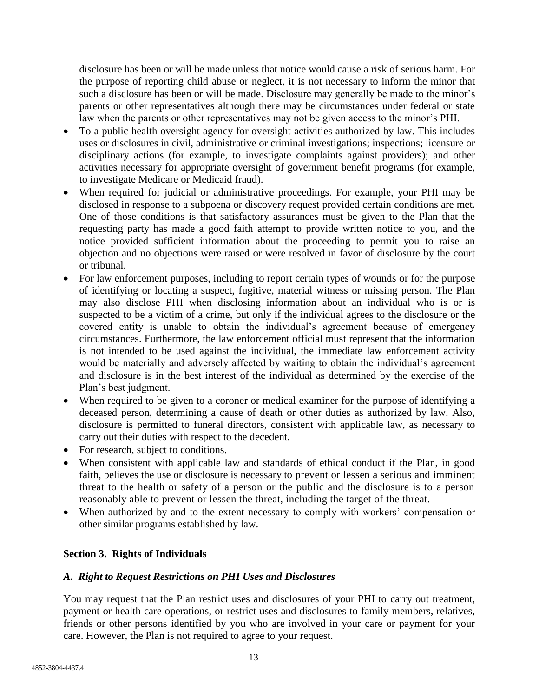disclosure has been or will be made unless that notice would cause a risk of serious harm. For the purpose of reporting child abuse or neglect, it is not necessary to inform the minor that such a disclosure has been or will be made. Disclosure may generally be made to the minor's parents or other representatives although there may be circumstances under federal or state law when the parents or other representatives may not be given access to the minor's PHI.

- To a public health oversight agency for oversight activities authorized by law. This includes uses or disclosures in civil, administrative or criminal investigations; inspections; licensure or disciplinary actions (for example, to investigate complaints against providers); and other activities necessary for appropriate oversight of government benefit programs (for example, to investigate Medicare or Medicaid fraud).
- When required for judicial or administrative proceedings. For example, your PHI may be disclosed in response to a subpoena or discovery request provided certain conditions are met. One of those conditions is that satisfactory assurances must be given to the Plan that the requesting party has made a good faith attempt to provide written notice to you, and the notice provided sufficient information about the proceeding to permit you to raise an objection and no objections were raised or were resolved in favor of disclosure by the court or tribunal.
- For law enforcement purposes, including to report certain types of wounds or for the purpose of identifying or locating a suspect, fugitive, material witness or missing person. The Plan may also disclose PHI when disclosing information about an individual who is or is suspected to be a victim of a crime, but only if the individual agrees to the disclosure or the covered entity is unable to obtain the individual's agreement because of emergency circumstances. Furthermore, the law enforcement official must represent that the information is not intended to be used against the individual, the immediate law enforcement activity would be materially and adversely affected by waiting to obtain the individual's agreement and disclosure is in the best interest of the individual as determined by the exercise of the Plan's best judgment.
- When required to be given to a coroner or medical examiner for the purpose of identifying a deceased person, determining a cause of death or other duties as authorized by law. Also, disclosure is permitted to funeral directors, consistent with applicable law, as necessary to carry out their duties with respect to the decedent.
- For research, subject to conditions.
- When consistent with applicable law and standards of ethical conduct if the Plan, in good faith, believes the use or disclosure is necessary to prevent or lessen a serious and imminent threat to the health or safety of a person or the public and the disclosure is to a person reasonably able to prevent or lessen the threat, including the target of the threat.
- When authorized by and to the extent necessary to comply with workers' compensation or other similar programs established by law.

# **Section 3. Rights of Individuals**

# *A. Right to Request Restrictions on PHI Uses and Disclosures*

You may request that the Plan restrict uses and disclosures of your PHI to carry out treatment, payment or health care operations, or restrict uses and disclosures to family members, relatives, friends or other persons identified by you who are involved in your care or payment for your care. However, the Plan is not required to agree to your request.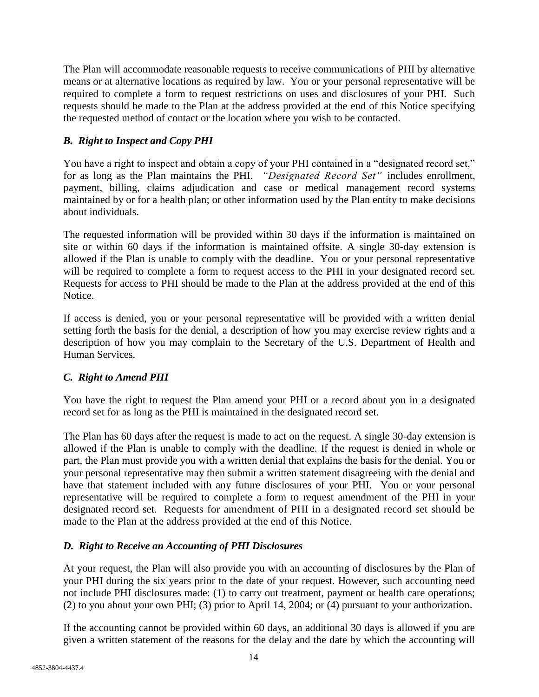The Plan will accommodate reasonable requests to receive communications of PHI by alternative means or at alternative locations as required by law. You or your personal representative will be required to complete a form to request restrictions on uses and disclosures of your PHI. Such requests should be made to the Plan at the address provided at the end of this Notice specifying the requested method of contact or the location where you wish to be contacted.

# *B. Right to Inspect and Copy PHI*

You have a right to inspect and obtain a copy of your PHI contained in a "designated record set," for as long as the Plan maintains the PHI. *"Designated Record Set"* includes enrollment, payment, billing, claims adjudication and case or medical management record systems maintained by or for a health plan; or other information used by the Plan entity to make decisions about individuals.

The requested information will be provided within 30 days if the information is maintained on site or within 60 days if the information is maintained offsite. A single 30-day extension is allowed if the Plan is unable to comply with the deadline. You or your personal representative will be required to complete a form to request access to the PHI in your designated record set. Requests for access to PHI should be made to the Plan at the address provided at the end of this Notice.

If access is denied, you or your personal representative will be provided with a written denial setting forth the basis for the denial, a description of how you may exercise review rights and a description of how you may complain to the Secretary of the U.S. Department of Health and Human Services.

# *C. Right to Amend PHI*

You have the right to request the Plan amend your PHI or a record about you in a designated record set for as long as the PHI is maintained in the designated record set.

The Plan has 60 days after the request is made to act on the request. A single 30-day extension is allowed if the Plan is unable to comply with the deadline. If the request is denied in whole or part, the Plan must provide you with a written denial that explains the basis for the denial. You or your personal representative may then submit a written statement disagreeing with the denial and have that statement included with any future disclosures of your PHI. You or your personal representative will be required to complete a form to request amendment of the PHI in your designated record set. Requests for amendment of PHI in a designated record set should be made to the Plan at the address provided at the end of this Notice.

# *D. Right to Receive an Accounting of PHI Disclosures*

At your request, the Plan will also provide you with an accounting of disclosures by the Plan of your PHI during the six years prior to the date of your request. However, such accounting need not include PHI disclosures made: (1) to carry out treatment, payment or health care operations; (2) to you about your own PHI; (3) prior to April 14, 2004; or (4) pursuant to your authorization.

If the accounting cannot be provided within 60 days, an additional 30 days is allowed if you are given a written statement of the reasons for the delay and the date by which the accounting will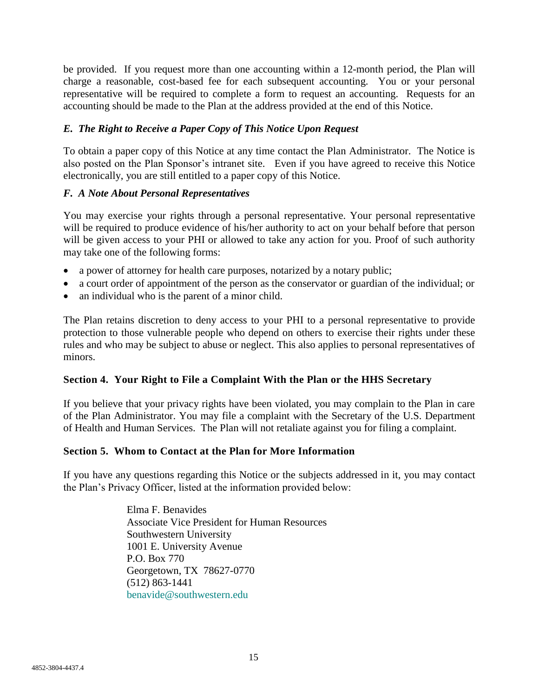be provided. If you request more than one accounting within a 12-month period, the Plan will charge a reasonable, cost-based fee for each subsequent accounting. You or your personal representative will be required to complete a form to request an accounting. Requests for an accounting should be made to the Plan at the address provided at the end of this Notice.

# *E. The Right to Receive a Paper Copy of This Notice Upon Request*

To obtain a paper copy of this Notice at any time contact the Plan Administrator. The Notice is also posted on the Plan Sponsor's intranet site. Even if you have agreed to receive this Notice electronically, you are still entitled to a paper copy of this Notice.

# *F. A Note About Personal Representatives*

You may exercise your rights through a personal representative. Your personal representative will be required to produce evidence of his/her authority to act on your behalf before that person will be given access to your PHI or allowed to take any action for you. Proof of such authority may take one of the following forms:

- a power of attorney for health care purposes, notarized by a notary public;
- a court order of appointment of the person as the conservator or guardian of the individual; or
- an individual who is the parent of a minor child.

The Plan retains discretion to deny access to your PHI to a personal representative to provide protection to those vulnerable people who depend on others to exercise their rights under these rules and who may be subject to abuse or neglect. This also applies to personal representatives of minors.

# **Section 4. Your Right to File a Complaint With the Plan or the HHS Secretary**

If you believe that your privacy rights have been violated, you may complain to the Plan in care of the Plan Administrator. You may file a complaint with the Secretary of the U.S. Department of Health and Human Services. The Plan will not retaliate against you for filing a complaint.

#### **Section 5. Whom to Contact at the Plan for More Information**

If you have any questions regarding this Notice or the subjects addressed in it, you may contact the Plan's Privacy Officer, listed at the information provided below:

> Elma F. Benavides Associate Vice President for Human Resources Southwestern University 1001 E. University Avenue P.O. Box 770 Georgetown, TX 78627-0770 (512) 863-1441 [benavide@southwestern.edu](mailto:benavide@southwestern.edu)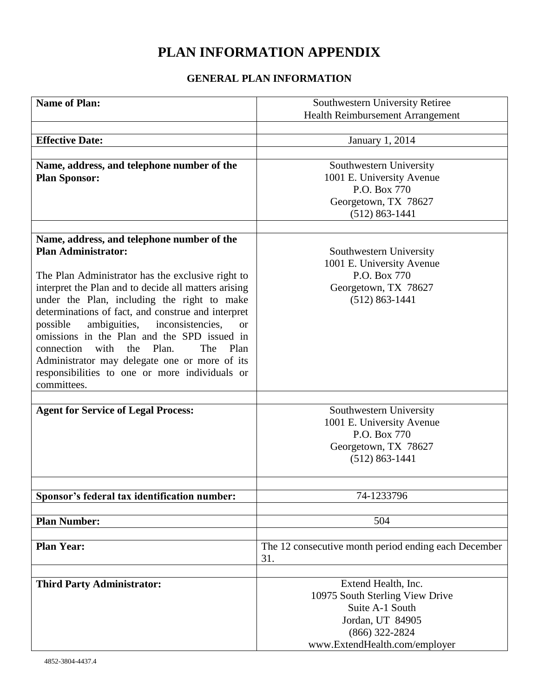# **PLAN INFORMATION APPENDIX**

# **GENERAL PLAN INFORMATION**

| <b>Name of Plan:</b>                                          | Southwestern University Retiree                      |
|---------------------------------------------------------------|------------------------------------------------------|
|                                                               |                                                      |
|                                                               | Health Reimbursement Arrangement                     |
| <b>Effective Date:</b>                                        |                                                      |
|                                                               | January 1, 2014                                      |
|                                                               |                                                      |
| Name, address, and telephone number of the                    | Southwestern University                              |
| <b>Plan Sponsor:</b>                                          | 1001 E. University Avenue                            |
|                                                               | P.O. Box 770                                         |
|                                                               | Georgetown, TX 78627                                 |
|                                                               | $(512) 863 - 1441$                                   |
|                                                               |                                                      |
| Name, address, and telephone number of the                    |                                                      |
| <b>Plan Administrator:</b>                                    | Southwestern University                              |
|                                                               | 1001 E. University Avenue                            |
| The Plan Administrator has the exclusive right to             | P.O. Box 770                                         |
| interpret the Plan and to decide all matters arising          | Georgetown, TX 78627                                 |
| under the Plan, including the right to make                   | $(512) 863 - 1441$                                   |
| determinations of fact, and construe and interpret            |                                                      |
| ambiguities,<br>inconsistencies,<br>possible<br><sub>or</sub> |                                                      |
| omissions in the Plan and the SPD issued in                   |                                                      |
| Plan.<br>The<br>connection<br>with<br>the<br>Plan             |                                                      |
| Administrator may delegate one or more of its                 |                                                      |
| responsibilities to one or more individuals or                |                                                      |
| committees.                                                   |                                                      |
|                                                               |                                                      |
| <b>Agent for Service of Legal Process:</b>                    | Southwestern University                              |
|                                                               | 1001 E. University Avenue                            |
|                                                               | P.O. Box 770                                         |
|                                                               | Georgetown, TX 78627                                 |
|                                                               | $(512) 863 - 1441$                                   |
|                                                               |                                                      |
|                                                               |                                                      |
| Sponsor's federal tax identification number:                  | 74-1233796                                           |
|                                                               |                                                      |
| <b>Plan Number:</b>                                           | 504                                                  |
|                                                               |                                                      |
| <b>Plan Year:</b>                                             | The 12 consecutive month period ending each December |
|                                                               | 31.                                                  |
|                                                               |                                                      |
| <b>Third Party Administrator:</b>                             | Extend Health, Inc.                                  |
|                                                               | 10975 South Sterling View Drive                      |
|                                                               | Suite A-1 South                                      |
|                                                               | Jordan, UT 84905                                     |
|                                                               | $(866)$ 322-2824                                     |
|                                                               | www.ExtendHealth.com/employer                        |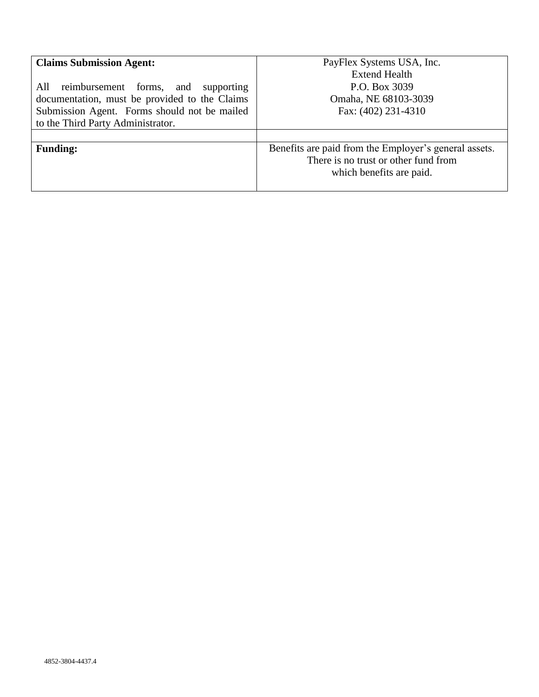| <b>Claims Submission Agent:</b><br>reimbursement forms,<br>All<br>supporting<br>and<br>documentation, must be provided to the Claims<br>Submission Agent. Forms should not be mailed<br>to the Third Party Administrator. | PayFlex Systems USA, Inc.<br>Extend Health<br>P.O. Box 3039<br>Omaha, NE 68103-3039<br>Fax: (402) 231-4310                |
|---------------------------------------------------------------------------------------------------------------------------------------------------------------------------------------------------------------------------|---------------------------------------------------------------------------------------------------------------------------|
| <b>Funding:</b>                                                                                                                                                                                                           | Benefits are paid from the Employer's general assets.<br>There is no trust or other fund from<br>which benefits are paid. |